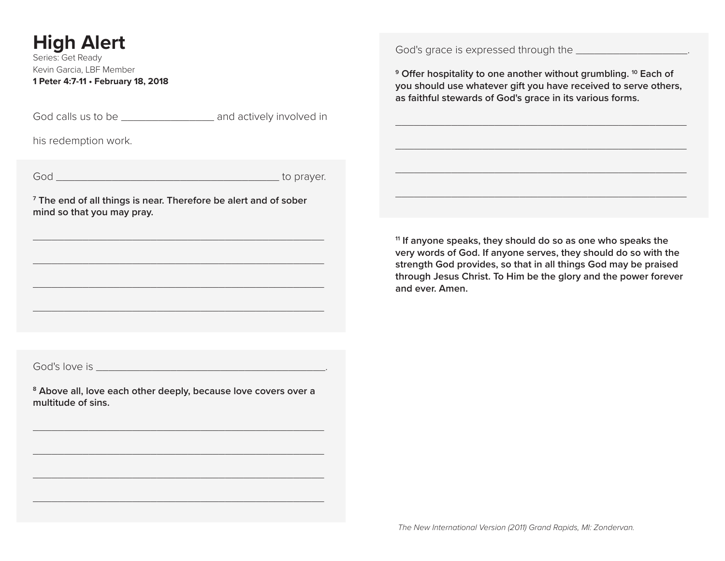# **High Alert**

Series: Get Ready Kevin Garcia, LBF Member **1 Peter 4:7-11 • February 18, 2018**

God calls us to be \_\_\_\_\_\_\_\_\_\_\_\_\_\_\_\_\_\_\_\_\_ and actively involved in

his redemption work.

God **b** compared to prayer.

**7 The end of all things is near. Therefore be alert and of sober mind so that you may pray.** 

\_\_\_\_\_\_\_\_\_\_\_\_\_\_\_\_\_\_\_\_\_\_\_\_\_\_\_\_\_\_\_\_\_\_\_\_\_\_\_\_\_\_\_\_\_\_\_

\_\_\_\_\_\_\_\_\_\_\_\_\_\_\_\_\_\_\_\_\_\_\_\_\_\_\_\_\_\_\_\_\_\_\_\_\_\_\_\_\_\_\_\_\_\_\_

\_\_\_\_\_\_\_\_\_\_\_\_\_\_\_\_\_\_\_\_\_\_\_\_\_\_\_\_\_\_\_\_\_\_\_\_\_\_\_\_\_\_\_\_\_\_\_

\_\_\_\_\_\_\_\_\_\_\_\_\_\_\_\_\_\_\_\_\_\_\_\_\_\_\_\_\_\_\_\_\_\_\_\_\_\_\_\_\_\_\_\_\_\_\_

God's grace is expressed through the \_\_\_\_\_\_\_\_\_\_\_\_\_\_\_\_\_\_\_\_\_\_.

**9 Offer hospitality to one another without grumbling. 10 Each of you should use whatever gift you have received to serve others, as faithful stewards of God's grace in its various forms.**

\_\_\_\_\_\_\_\_\_\_\_\_\_\_\_\_\_\_\_\_\_\_\_\_\_\_\_\_\_\_\_\_\_\_\_\_\_\_\_\_\_\_\_\_\_\_\_

\_\_\_\_\_\_\_\_\_\_\_\_\_\_\_\_\_\_\_\_\_\_\_\_\_\_\_\_\_\_\_\_\_\_\_\_\_\_\_\_\_\_\_\_\_\_\_

\_\_\_\_\_\_\_\_\_\_\_\_\_\_\_\_\_\_\_\_\_\_\_\_\_\_\_\_\_\_\_\_\_\_\_\_\_\_\_\_\_\_\_\_\_\_\_

\_\_\_\_\_\_\_\_\_\_\_\_\_\_\_\_\_\_\_\_\_\_\_\_\_\_\_\_\_\_\_\_\_\_\_\_\_\_\_\_\_\_\_\_\_\_\_

**11 If anyone speaks, they should do so as one who speaks the very words of God. If anyone serves, they should do so with the strength God provides, so that in all things God may be praised through Jesus Christ. To Him be the glory and the power forever and ever. Amen.**

God's love is  $\overline{\phantom{a}}$ 

**8 Above all, love each other deeply, because love covers over a multitude of sins.**

\_\_\_\_\_\_\_\_\_\_\_\_\_\_\_\_\_\_\_\_\_\_\_\_\_\_\_\_\_\_\_\_\_\_\_\_\_\_\_\_\_\_\_\_\_\_\_

\_\_\_\_\_\_\_\_\_\_\_\_\_\_\_\_\_\_\_\_\_\_\_\_\_\_\_\_\_\_\_\_\_\_\_\_\_\_\_\_\_\_\_\_\_\_\_

\_\_\_\_\_\_\_\_\_\_\_\_\_\_\_\_\_\_\_\_\_\_\_\_\_\_\_\_\_\_\_\_\_\_\_\_\_\_\_\_\_\_\_\_\_\_\_

\_\_\_\_\_\_\_\_\_\_\_\_\_\_\_\_\_\_\_\_\_\_\_\_\_\_\_\_\_\_\_\_\_\_\_\_\_\_\_\_\_\_\_\_\_\_\_